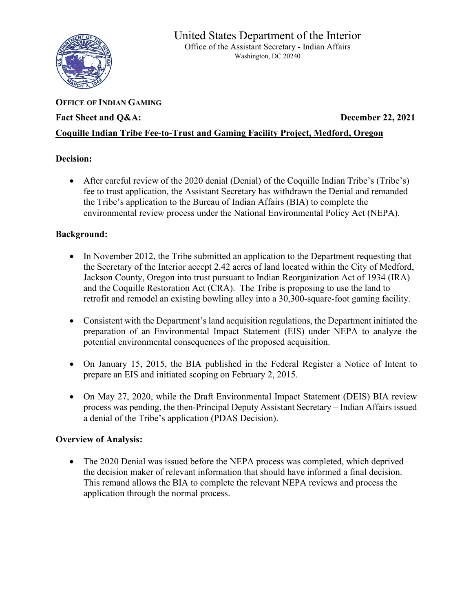

# **OFFICE OF INDIAN GAMING** Fact Sheet and Q&A: December 22, 2021 **Coquille Indian Tribe Fee-to-Trust and Gaming Facility Project, Medford, Oregon**

## **Decision:**

• After careful review of the 2020 denial (Denial) of the Coquille Indian Tribe's (Tribe's) fee to trust application, the Assistant Secretary has withdrawn the Denial and remanded the Tribe's application to the Bureau of Indian Affairs (BIA) to complete the environmental review process under the National Environmental Policy Act (NEPA).

## **Background:**

- In November 2012, the Tribe submitted an application to the Department requesting that the Secretary of the Interior accept 2.42 acres of land located within the City of Medford, Jackson County, Oregon into trust pursuant to Indian Reorganization Act of 1934 (IRA) and the Coquille Restoration Act (CRA). The Tribe is proposing to use the land to retrofit and remodel an existing bowling alley into a 30,300-square-foot gaming facility.
- Consistent with the Department's land acquisition regulations, the Department initiated the preparation of an Environmental Impact Statement (EIS) under NEPA to analyze the potential environmental consequences of the proposed acquisition.
- On January 15, 2015, the BIA published in the Federal Register a Notice of Intent to prepare an EIS and initiated scoping on February 2, 2015.
- On May 27, 2020, while the Draft Environmental Impact Statement (DEIS) BIA review process was pending, the then-Principal Deputy Assistant Secretary – Indian Affairs issued a denial of the Tribe's application (PDAS Decision).

## **Overview of Analysis:**

• The 2020 Denial was issued before the NEPA process was completed, which deprived the decision maker of relevant information that should have informed a final decision. This remand allows the BIA to complete the relevant NEPA reviews and process the application through the normal process.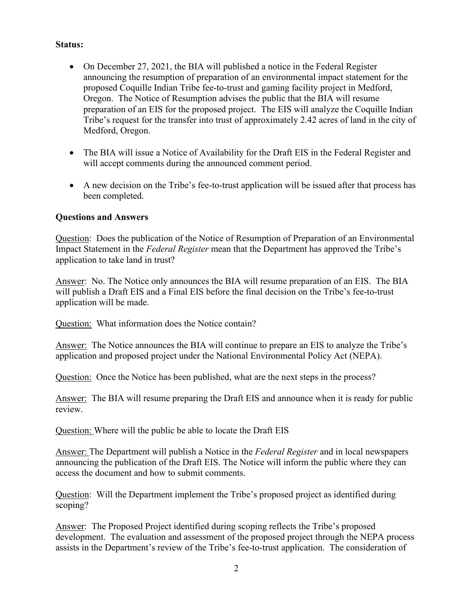#### **Status:**

- On December 27, 2021, the BIA will published a notice in the Federal Register announcing the resumption of preparation of an environmental impact statement for the proposed Coquille Indian Tribe fee-to-trust and gaming facility project in Medford, Oregon. The Notice of Resumption advises the public that the BIA will resume preparation of an EIS for the proposed project. The EIS will analyze the Coquille Indian Tribe's request for the transfer into trust of approximately 2.42 acres of land in the city of Medford, Oregon.
- The BIA will issue a Notice of Availability for the Draft EIS in the Federal Register and will accept comments during the announced comment period.
- A new decision on the Tribe's fee-to-trust application will be issued after that process has been completed.

#### **Questions and Answers**

Question: Does the publication of the Notice of Resumption of Preparation of an Environmental Impact Statement in the *Federal Register* mean that the Department has approved the Tribe's application to take land in trust?

Answer: No. The Notice only announces the BIA will resume preparation of an EIS. The BIA will publish a Draft EIS and a Final EIS before the final decision on the Tribe's fee-to-trust application will be made.

Question: What information does the Notice contain?

Answer: The Notice announces the BIA will continue to prepare an EIS to analyze the Tribe's application and proposed project under the National Environmental Policy Act (NEPA).

Question: Once the Notice has been published, what are the next steps in the process?

Answer: The BIA will resume preparing the Draft EIS and announce when it is ready for public review.

Question: Where will the public be able to locate the Draft EIS

Answer: The Department will publish a Notice in the *Federal Register* and in local newspapers announcing the publication of the Draft EIS. The Notice will inform the public where they can access the document and how to submit comments.

Question: Will the Department implement the Tribe's proposed project as identified during scoping?

Answer: The Proposed Project identified during scoping reflects the Tribe's proposed development. The evaluation and assessment of the proposed project through the NEPA process assists in the Department's review of the Tribe's fee-to-trust application. The consideration of